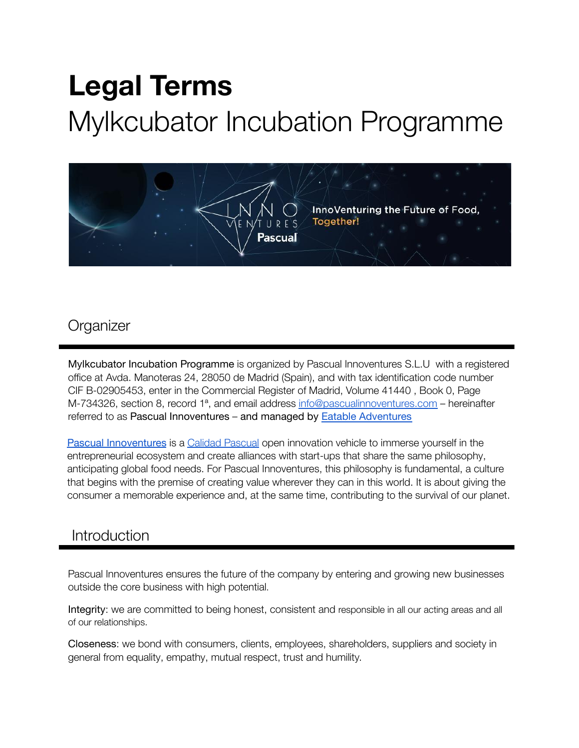# **Legal Terms** Mylkcubator Incubation Programme



# **Organizer**

Mylkcubator Incubation Programme is organized by Pascual Innoventures S.L.U with a registered office at Avda. Manoteras 24, 28050 de Madrid (Spain), and with tax identification code number CIF B-02905453, enter in the Commercial Register of Madrid, Volume 41440 , Book 0, Page M-734326, section 8, record 1ª, and email address [info@pascualinnoventures.com](mailto:info@pascualinnoventures.com) – hereinafter referred to as Pascual Innoventures – and managed by Eatable [Adventures](https://www.eatableadventures.com)

Pascual [Innoventures](https://pascualinnoventures.com) is a Calidad [Pascual](https://www.calidadpascual.com/en/) open innovation vehicle to immerse yourself in the entrepreneurial ecosystem and create alliances with start-ups that share the same philosophy, anticipating global food needs. For Pascual Innoventures, this philosophy is fundamental, a culture that begins with the premise of creating value wherever they can in this world. It is about giving the consumer a memorable experience and, at the same time, contributing to the survival of our planet.

## Introduction

Pascual Innoventures ensures the future of the company by entering and growing new businesses outside the core business with high potential.

Integrity: we are committed to being honest, consistent and responsible in all our acting areas and all of our relationships.

Closeness: we bond with consumers, clients, employees, shareholders, suppliers and society in general from equality, empathy, mutual respect, trust and humility.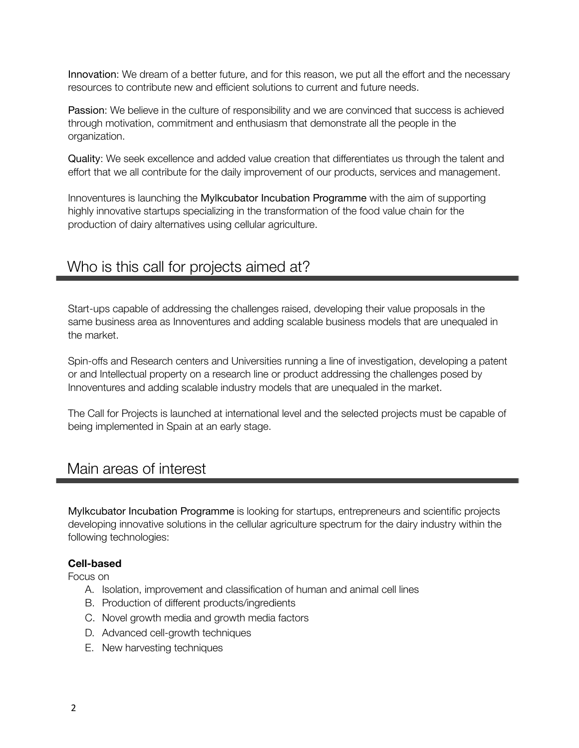Innovation: We dream of a better future, and for this reason, we put all the effort and the necessary resources to contribute new and efficient solutions to current and future needs.

Passion: We believe in the culture of responsibility and we are convinced that success is achieved through motivation, commitment and enthusiasm that demonstrate all the people in the organization.

Quality: We seek excellence and added value creation that differentiates us through the talent and effort that we all contribute for the daily improvement of our products, services and management.

Innoventures is launching the Mylkcubator Incubation Programme with the aim of supporting highly innovative startups specializing in the transformation of the food value chain for the production of dairy alternatives using cellular agriculture.

## Who is this call for projects aimed at?

Start-ups capable of addressing the challenges raised, developing their value proposals in the same business area as Innoventures and adding scalable business models that are unequaled in the market.

Spin-offs and Research centers and Universities running a line of investigation, developing a patent or and Intellectual property on a research line or product addressing the challenges posed by Innoventures and adding scalable industry models that are unequaled in the market.

The Call for Projects is launched at international level and the selected projects must be capable of being implemented in Spain at an early stage.

# Main areas of interest

Mylkcubator Incubation Programme is looking for startups, entrepreneurs and scientific projects developing innovative solutions in the cellular agriculture spectrum for the dairy industry within the following technologies:

## **Cell-based**

Focus on

- A. Isolation, improvement and classification of human and animal cell lines
- B. Production of different products/ingredients
- C. Novel growth media and growth media factors
- D. Advanced cell-growth techniques
- E. New harvesting techniques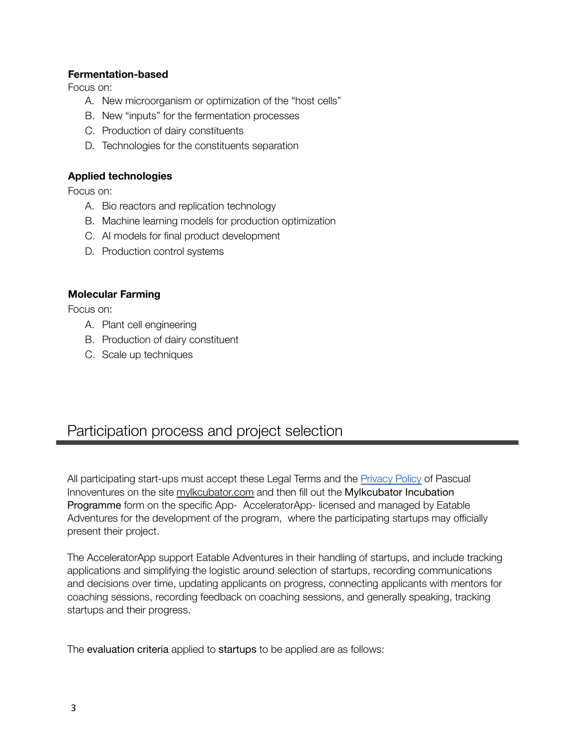## **Fermentation-based**

Focus on:

- A. New microorganism or optimization of the "host cells"
- B. New "inputs" for the fermentation processes
- C. Production of dairy constituents
- D. Technologies for the constituents separation

## **Applied technologies**

Focus on:

- A. Bio reactors and replication technology
- B. Machine learning models for production optimization
- C. AI models for final product development
- D. Production control systems

## **Molecular Farming**

Focus on:

- A. Plant cell engineering
- B. Production of dairy constituent
- C. Scale up techniques

## Participation process and project selection

All participating start-ups must accept these Legal Terms and the [Privacy](https://pascualinnoventures.com/privacy-policy) Policy of Pascual Innoventures on the site mylkcubator.com and then fill out the Mylkcubator Incubation Programme form on the specific App- AcceleratorApp- licensed and managed by Eatable Adventures for the development of the program, where the participating startups may officially present their project.

The AcceleratorApp support Eatable Adventures in their handling of startups, and include tracking applications and simplifying the logistic around selection of startups, recording communications and decisions over time, updating applicants on progress, connecting applicants with mentors for coaching sessions, recording feedback on coaching sessions, and generally speaking, tracking startups and their progress.

The evaluation criteria applied to startups to be applied are as follows: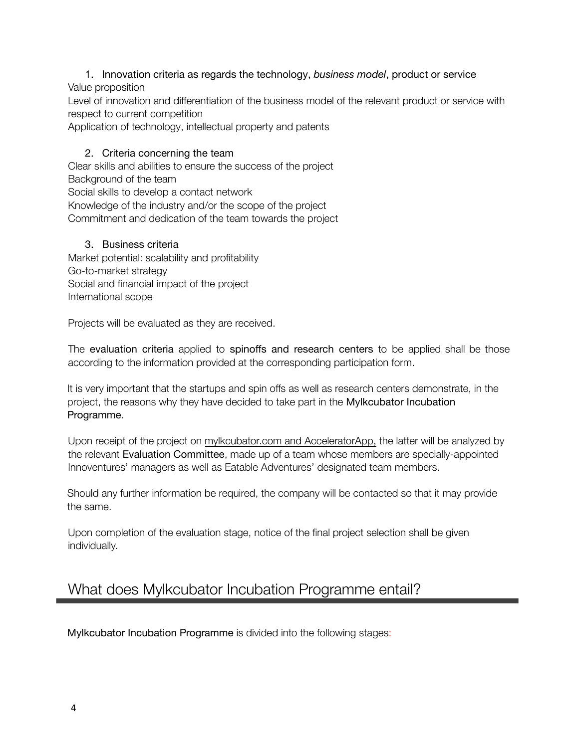## 1. Innovation criteria as regards the technology, *business model*, product or service Value proposition

Level of innovation and differentiation of the business model of the relevant product or service with respect to current competition

Application of technology, intellectual property and patents

## 2. Criteria concerning the team

Clear skills and abilities to ensure the success of the project Background of the team Social skills to develop a contact network Knowledge of the industry and/or the scope of the project Commitment and dedication of the team towards the project

## 3. Business criteria

Market potential: scalability and profitability Go-to-market strategy Social and financial impact of the project International scope

Projects will be evaluated as they are received.

The evaluation criteria applied to spinoffs and research centers to be applied shall be those according to the information provided at the corresponding participation form.

It is very important that the startups and spin offs as well as research centers demonstrate, in the project, the reasons why they have decided to take part in the Mylkcubator Incubation Programme.

Upon receipt of the project on mylkcubator.com and AcceleratorApp, the latter will be analyzed by the relevant Evaluation Committee, made up of a team whose members are specially-appointed Innoventures' managers as well as Eatable Adventures' designated team members.

Should any further information be required, the company will be contacted so that it may provide the same.

Upon completion of the evaluation stage, notice of the final project selection shall be given individually.

# What does Mylkcubator Incubation Programme entail?

Mylkcubator Incubation Programme is divided into the following stages: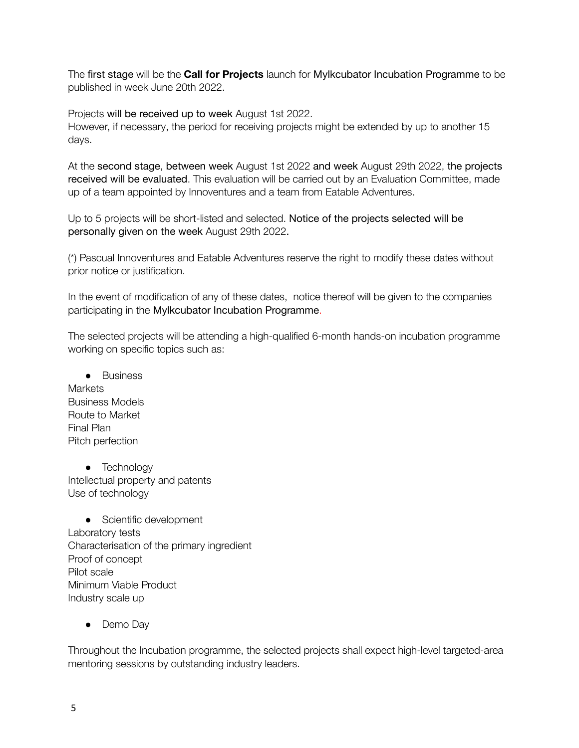The first stage will be the **Call for Projects** launch for Mylkcubator Incubation Programme to be published in week June 20th 2022.

Projects will be received up to week August 1st 2022. However, if necessary, the period for receiving projects might be extended by up to another 15 days.

At the second stage, between week August 1st 2022 and week August 29th 2022, the projects received will be evaluated. This evaluation will be carried out by an Evaluation Committee, made up of a team appointed by Innoventures and a team from Eatable Adventures.

Up to 5 projects will be short-listed and selected. Notice of the projects selected will be personally given on the week August 29th 2022.

(\*) Pascual Innoventures and Eatable Adventures reserve the right to modify these dates without prior notice or justification.

In the event of modification of any of these dates, notice thereof will be given to the companies participating in the Mylkcubator Incubation Programme.

The selected projects will be attending a high-qualified 6-month hands-on incubation programme working on specific topics such as:

● Business **Markets** Business Models Route to Market Final Plan Pitch perfection

**•** Technology Intellectual property and patents Use of technology

• Scientific development Laboratory tests Characterisation of the primary ingredient Proof of concept Pilot scale Minimum Viable Product Industry scale up

● Demo Day

Throughout the Incubation programme, the selected projects shall expect high-level targeted-area mentoring sessions by outstanding industry leaders.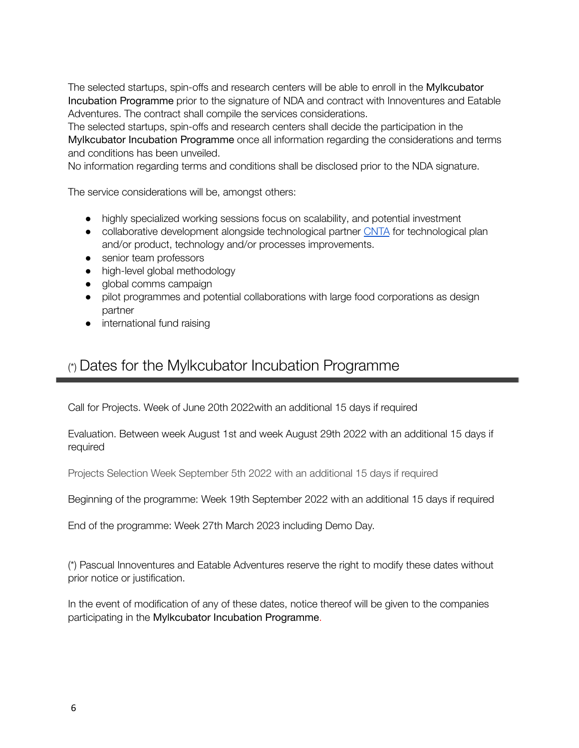The selected startups, spin-offs and research centers will be able to enroll in the Mylkcubator Incubation Programme prior to the signature of NDA and contract with Innoventures and Eatable Adventures. The contract shall compile the services considerations.

The selected startups, spin-offs and research centers shall decide the participation in the Mylkcubator Incubation Programme once all information regarding the considerations and terms and conditions has been unveiled.

No information regarding terms and conditions shall be disclosed prior to the NDA signature.

The service considerations will be, amongst others:

- highly specialized working sessions focus on scalability, and potential investment
- collaborative development alongside technological partner [CNTA](https://www.cnta.es/en/) for technological plan and/or product, technology and/or processes improvements.
- senior team professors
- high-level global methodology
- global comms campaign
- pilot programmes and potential collaborations with large food corporations as design partner
- international fund raising

## (\*) Dates for the Mylkcubator Incubation Programme

Call for Projects. Week of June 20th 2022with an additional 15 days if required

Evaluation. Between week August 1st and week August 29th 2022 with an additional 15 days if required

Projects Selection Week September 5th 2022 with an additional 15 days if required

Beginning of the programme: Week 19th September 2022 with an additional 15 days if required

End of the programme: Week 27th March 2023 including Demo Day.

(\*) Pascual Innoventures and Eatable Adventures reserve the right to modify these dates without prior notice or justification.

In the event of modification of any of these dates, notice thereof will be given to the companies participating in the Mylkcubator Incubation Programme.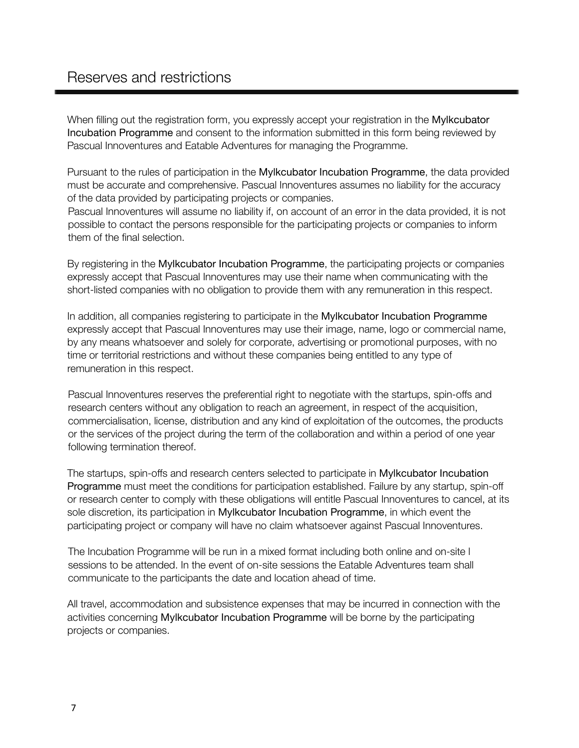When filling out the registration form, you expressly accept your registration in the Mylkcubator Incubation Programme and consent to the information submitted in this form being reviewed by Pascual Innoventures and Eatable Adventures for managing the Programme.

Pursuant to the rules of participation in the Mylkcubator Incubation Programme, the data provided must be accurate and comprehensive. Pascual Innoventures assumes no liability for the accuracy of the data provided by participating projects or companies.

Pascual Innoventures will assume no liability if, on account of an error in the data provided, it is not possible to contact the persons responsible for the participating projects or companies to inform them of the final selection.

By registering in the Mylkcubator Incubation Programme, the participating projects or companies expressly accept that Pascual Innoventures may use their name when communicating with the short-listed companies with no obligation to provide them with any remuneration in this respect.

In addition, all companies registering to participate in the Mylkcubator Incubation Programme expressly accept that Pascual Innoventures may use their image, name, logo or commercial name, by any means whatsoever and solely for corporate, advertising or promotional purposes, with no time or territorial restrictions and without these companies being entitled to any type of remuneration in this respect.

Pascual Innoventures reserves the preferential right to negotiate with the startups, spin-offs and research centers without any obligation to reach an agreement, in respect of the acquisition, commercialisation, license, distribution and any kind of exploitation of the outcomes, the products or the services of the project during the term of the collaboration and within a period of one year following termination thereof.

The startups, spin-offs and research centers selected to participate in Mylkcubator Incubation Programme must meet the conditions for participation established. Failure by any startup, spin-off or research center to comply with these obligations will entitle Pascual Innoventures to cancel, at its sole discretion, its participation in Mylkcubator Incubation Programme, in which event the participating project or company will have no claim whatsoever against Pascual Innoventures.

The Incubation Programme will be run in a mixed format including both online and on-site l sessions to be attended. In the event of on-site sessions the Eatable Adventures team shall communicate to the participants the date and location ahead of time.

All travel, accommodation and subsistence expenses that may be incurred in connection with the activities concerning Mylkcubator Incubation Programme will be borne by the participating projects or companies.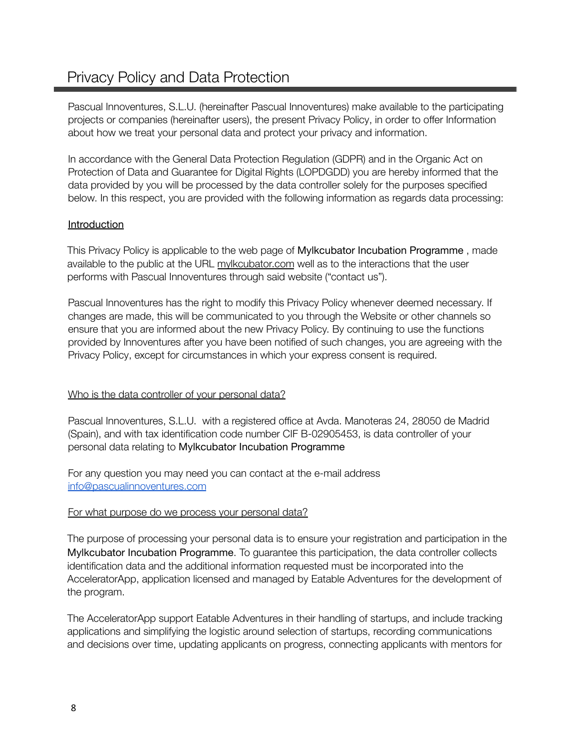Pascual Innoventures, S.L.U. (hereinafter Pascual Innoventures) make available to the participating projects or companies (hereinafter users), the present Privacy Policy, in order to offer Information about how we treat your personal data and protect your privacy and information.

In accordance with the General Data Protection Regulation (GDPR) and in the Organic Act on Protection of Data and Guarantee for Digital Rights (LOPDGDD) you are hereby informed that the data provided by you will be processed by the data controller solely for the purposes specified below. In this respect, you are provided with the following information as regards data processing:

## Introduction

This Privacy Policy is applicable to the web page of Mylkcubator Incubation Programme , made available to the public at the URL mylkcubator.com well as to the interactions that the user performs with Pascual Innoventures through said website ("contact us").

Pascual Innoventures has the right to modify this Privacy Policy whenever deemed necessary. If changes are made, this will be communicated to you through the Website or other channels so ensure that you are informed about the new Privacy Policy. By continuing to use the functions provided by Innoventures after you have been notified of such changes, you are agreeing with the Privacy Policy, except for circumstances in which your express consent is required.

## Who is the data controller of your personal data?

Pascual Innoventures, S.L.U. with a registered office at Avda. Manoteras 24, 28050 de Madrid (Spain), and with tax identification code number CIF B-02905453, is data controller of your personal data relating to Mylkcubator Incubation Programme

For any question you may need you can contact at the e-mail address [info@pascualinnoventures.com](mailto:info@pascualinnoventures.com)

## For what purpose do we process your personal data?

The purpose of processing your personal data is to ensure your registration and participation in the Mylkcubator Incubation Programme. To guarantee this participation, the data controller collects identification data and the additional information requested must be incorporated into the AcceleratorApp, application licensed and managed by Eatable Adventures for the development of the program.

The AcceleratorApp support Eatable Adventures in their handling of startups, and include tracking applications and simplifying the logistic around selection of startups, recording communications and decisions over time, updating applicants on progress, connecting applicants with mentors for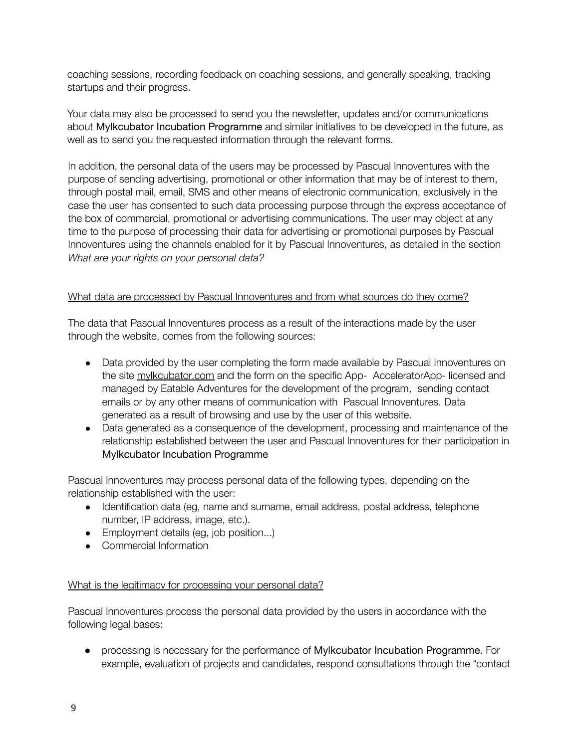coaching sessions, recording feedback on coaching sessions, and generally speaking, tracking startups and their progress.

Your data may also be processed to send you the newsletter, updates and/or communications about Mylkcubator Incubation Programme and similar initiatives to be developed in the future, as well as to send you the requested information through the relevant forms.

In addition, the personal data of the users may be processed by Pascual Innoventures with the purpose of sending advertising, promotional or other information that may be of interest to them, through postal mail, email, SMS and other means of electronic communication, exclusively in the case the user has consented to such data processing purpose through the express acceptance of the box of commercial, promotional or advertising communications. The user may object at any time to the purpose of processing their data for advertising or promotional purposes by Pascual Innoventures using the channels enabled for it by Pascual Innoventures, as detailed in the section *What are your rights on your personal data?*

## What data are processed by Pascual Innoventures and from what sources do they come?

The data that Pascual Innoventures process as a result of the interactions made by the user through the website, comes from the following sources:

- Data provided by the user completing the form made available by Pascual Innoventures on the site mylkcubator.com and the form on the specific App- AcceleratorApp- licensed and managed by Eatable Adventures for the development of the program, sending contact emails or by any other means of communication with Pascual Innoventures. Data generated as a result of browsing and use by the user of this website.
- Data generated as a consequence of the development, processing and maintenance of the relationship established between the user and Pascual Innoventures for their participation in Mylkcubator Incubation Programme

Pascual Innoventures may process personal data of the following types, depending on the relationship established with the user:

- Identification data (eg, name and surname, email address, postal address, telephone number, IP address, image, etc.).
- Employment details (eg, job position...)
- Commercial Information

#### What is the legitimacy for processing your personal data?

Pascual Innoventures process the personal data provided by the users in accordance with the following legal bases:

• processing is necessary for the performance of Mylkcubator Incubation Programme. For example, evaluation of projects and candidates, respond consultations through the "contact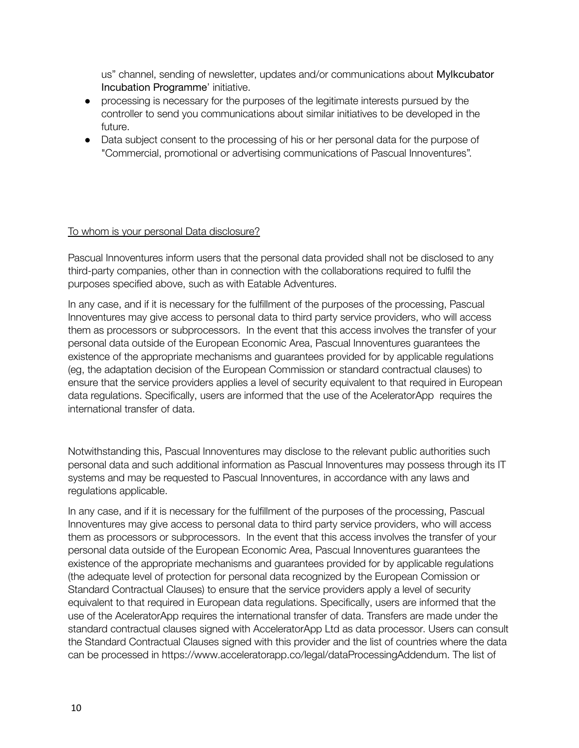us" channel, sending of newsletter, updates and/or communications about Mylkcubator Incubation Programme' initiative.

- processing is necessary for the purposes of the legitimate interests pursued by the controller to send you communications about similar initiatives to be developed in the future.
- Data subject consent to the processing of his or her personal data for the purpose of "Commercial, promotional or advertising communications of Pascual Innoventures".

## To whom is your personal Data disclosure?

Pascual Innoventures inform users that the personal data provided shall not be disclosed to any third-party companies, other than in connection with the collaborations required to fulfil the purposes specified above, such as with Eatable Adventures.

In any case, and if it is necessary for the fulfillment of the purposes of the processing, Pascual Innoventures may give access to personal data to third party service providers, who will access them as processors or subprocessors. In the event that this access involves the transfer of your personal data outside of the European Economic Area, Pascual Innoventures guarantees the existence of the appropriate mechanisms and guarantees provided for by applicable regulations (eg, the adaptation decision of the European Commission or standard contractual clauses) to ensure that the service providers applies a level of security equivalent to that required in European data regulations. Specifically, users are informed that the use of the AceleratorApp requires the international transfer of data.

Notwithstanding this, Pascual Innoventures may disclose to the relevant public authorities such personal data and such additional information as Pascual Innoventures may possess through its IT systems and may be requested to Pascual Innoventures, in accordance with any laws and regulations applicable.

In any case, and if it is necessary for the fulfillment of the purposes of the processing, Pascual Innoventures may give access to personal data to third party service providers, who will access them as processors or subprocessors. In the event that this access involves the transfer of your personal data outside of the European Economic Area, Pascual Innoventures guarantees the existence of the appropriate mechanisms and guarantees provided for by applicable regulations (the adequate level of protection for personal data recognized by the European Comission or Standard Contractual Clauses) to ensure that the service providers apply a level of security equivalent to that required in European data regulations. Specifically, users are informed that the use of the AceleratorApp requires the international transfer of data. Transfers are made under the standard contractual clauses signed with AcceleratorApp Ltd as data processor. Users can consult the Standard Contractual Clauses signed with this provider and the list of countries where the data can be processed in https://www.acceleratorapp.co/legal/dataProcessingAddendum. The list of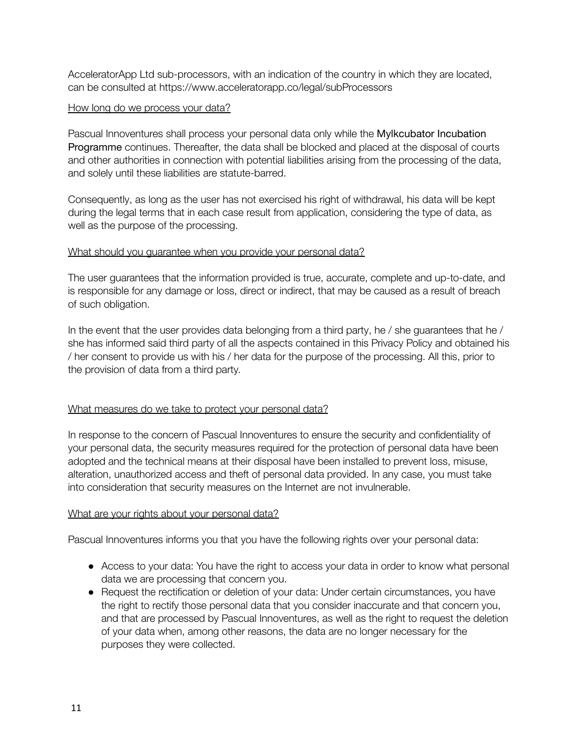AcceleratorApp Ltd sub-processors, with an indication of the country in which they are located, can be consulted at https://www.acceleratorapp.co/legal/subProcessors

#### How long do we process your data?

Pascual Innoventures shall process your personal data only while the Mylkcubator Incubation Programme continues. Thereafter, the data shall be blocked and placed at the disposal of courts and other authorities in connection with potential liabilities arising from the processing of the data, and solely until these liabilities are statute-barred.

Consequently, as long as the user has not exercised his right of withdrawal, his data will be kept during the legal terms that in each case result from application, considering the type of data, as well as the purpose of the processing.

#### What should you guarantee when you provide your personal data?

The user guarantees that the information provided is true, accurate, complete and up-to-date, and is responsible for any damage or loss, direct or indirect, that may be caused as a result of breach of such obligation.

In the event that the user provides data belonging from a third party, he / she guarantees that he / she has informed said third party of all the aspects contained in this Privacy Policy and obtained his / her consent to provide us with his / her data for the purpose of the processing. All this, prior to the provision of data from a third party.

#### What measures do we take to protect your personal data?

In response to the concern of Pascual Innoventures to ensure the security and confidentiality of your personal data, the security measures required for the protection of personal data have been adopted and the technical means at their disposal have been installed to prevent loss, misuse, alteration, unauthorized access and theft of personal data provided. In any case, you must take into consideration that security measures on the Internet are not invulnerable.

#### What are your rights about your personal data?

Pascual Innoventures informs you that you have the following rights over your personal data:

- Access to your data: You have the right to access your data in order to know what personal data we are processing that concern you.
- Request the rectification or deletion of your data: Under certain circumstances, you have the right to rectify those personal data that you consider inaccurate and that concern you, and that are processed by Pascual Innoventures, as well as the right to request the deletion of your data when, among other reasons, the data are no longer necessary for the purposes they were collected.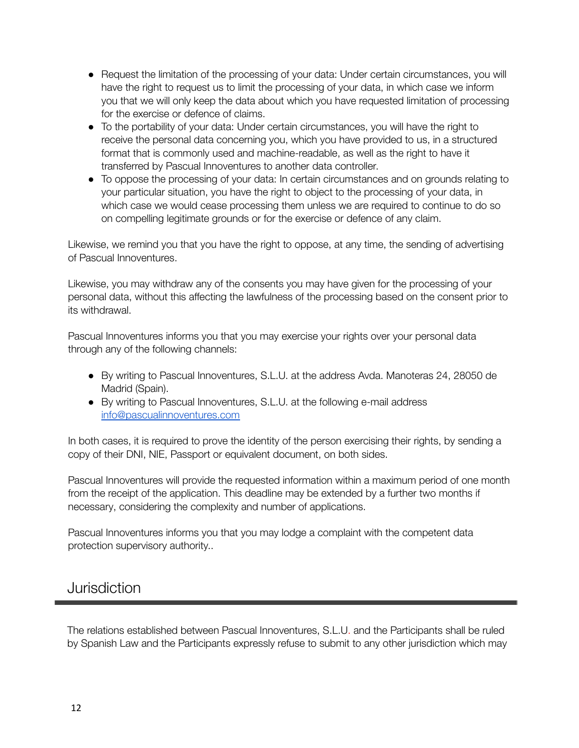- Request the limitation of the processing of your data: Under certain circumstances, you will have the right to request us to limit the processing of your data, in which case we inform you that we will only keep the data about which you have requested limitation of processing for the exercise or defence of claims.
- To the portability of your data: Under certain circumstances, you will have the right to receive the personal data concerning you, which you have provided to us, in a structured format that is commonly used and machine-readable, as well as the right to have it transferred by Pascual Innoventures to another data controller.
- To oppose the processing of your data: In certain circumstances and on grounds relating to your particular situation, you have the right to object to the processing of your data, in which case we would cease processing them unless we are required to continue to do so on compelling legitimate grounds or for the exercise or defence of any claim.

Likewise, we remind you that you have the right to oppose, at any time, the sending of advertising of Pascual Innoventures.

Likewise, you may withdraw any of the consents you may have given for the processing of your personal data, without this affecting the lawfulness of the processing based on the consent prior to its withdrawal.

Pascual Innoventures informs you that you may exercise your rights over your personal data through any of the following channels:

- By writing to Pascual Innoventures, S.L.U. at the address Avda. Manoteras 24, 28050 de Madrid (Spain).
- By writing to Pascual Innoventures, S.L.U. at the following e-mail address [info@pascualinnoventures.com](mailto:info@pascualinnoventures.com)

In both cases, it is required to prove the identity of the person exercising their rights, by sending a copy of their DNI, NIE, Passport or equivalent document, on both sides.

Pascual Innoventures will provide the requested information within a maximum period of one month from the receipt of the application. This deadline may be extended by a further two months if necessary, considering the complexity and number of applications.

Pascual Innoventures informs you that you may lodge a complaint with the competent data protection supervisory authority..

## Jurisdiction

The relations established between Pascual Innoventures, S.L.U. and the Participants shall be ruled by Spanish Law and the Participants expressly refuse to submit to any other jurisdiction which may